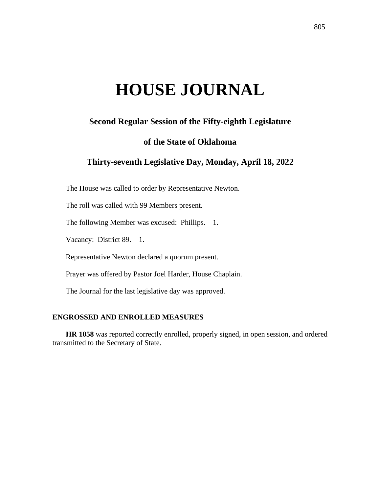# **HOUSE JOURNAL**

# **Second Regular Session of the Fifty-eighth Legislature**

# **of the State of Oklahoma**

# **Thirty-seventh Legislative Day, Monday, April 18, 2022**

The House was called to order by Representative Newton.

The roll was called with 99 Members present.

The following Member was excused: Phillips.—1.

Vacancy: District 89.—1.

Representative Newton declared a quorum present.

Prayer was offered by Pastor Joel Harder, House Chaplain.

The Journal for the last legislative day was approved.

# **ENGROSSED AND ENROLLED MEASURES**

**HR 1058** was reported correctly enrolled, properly signed, in open session, and ordered transmitted to the Secretary of State.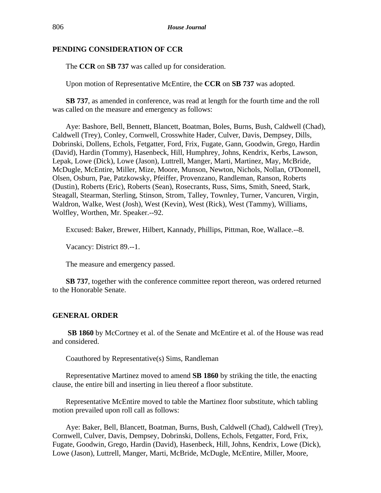## **PENDING CONSIDERATION OF CCR**

The **CCR** on **SB 737** was called up for consideration.

Upon motion of Representative McEntire, the **CCR** on **SB 737** was adopted.

**SB 737**, as amended in conference, was read at length for the fourth time and the roll was called on the measure and emergency as follows:

Aye: Bashore, Bell, Bennett, Blancett, Boatman, Boles, Burns, Bush, Caldwell (Chad), Caldwell (Trey), Conley, Cornwell, Crosswhite Hader, Culver, Davis, Dempsey, Dills, Dobrinski, Dollens, Echols, Fetgatter, Ford, Frix, Fugate, Gann, Goodwin, Grego, Hardin (David), Hardin (Tommy), Hasenbeck, Hill, Humphrey, Johns, Kendrix, Kerbs, Lawson, Lepak, Lowe (Dick), Lowe (Jason), Luttrell, Manger, Marti, Martinez, May, McBride, McDugle, McEntire, Miller, Mize, Moore, Munson, Newton, Nichols, Nollan, O'Donnell, Olsen, Osburn, Pae, Patzkowsky, Pfeiffer, Provenzano, Randleman, Ranson, Roberts (Dustin), Roberts (Eric), Roberts (Sean), Rosecrants, Russ, Sims, Smith, Sneed, Stark, Steagall, Stearman, Sterling, Stinson, Strom, Talley, Townley, Turner, Vancuren, Virgin, Waldron, Walke, West (Josh), West (Kevin), West (Rick), West (Tammy), Williams, Wolfley, Worthen, Mr. Speaker.--92.

Excused: Baker, Brewer, Hilbert, Kannady, Phillips, Pittman, Roe, Wallace.--8.

Vacancy: District 89.--1.

The measure and emergency passed.

**SB 737**, together with the conference committee report thereon, was ordered returned to the Honorable Senate.

# **GENERAL ORDER**

**SB 1860** by McCortney et al. of the Senate and McEntire et al. of the House was read and considered.

Coauthored by Representative(s) Sims, Randleman

Representative Martinez moved to amend **SB 1860** by striking the title, the enacting clause, the entire bill and inserting in lieu thereof a floor substitute.

Representative McEntire moved to table the Martinez floor substitute, which tabling motion prevailed upon roll call as follows:

Aye: Baker, Bell, Blancett, Boatman, Burns, Bush, Caldwell (Chad), Caldwell (Trey), Cornwell, Culver, Davis, Dempsey, Dobrinski, Dollens, Echols, Fetgatter, Ford, Frix, Fugate, Goodwin, Grego, Hardin (David), Hasenbeck, Hill, Johns, Kendrix, Lowe (Dick), Lowe (Jason), Luttrell, Manger, Marti, McBride, McDugle, McEntire, Miller, Moore,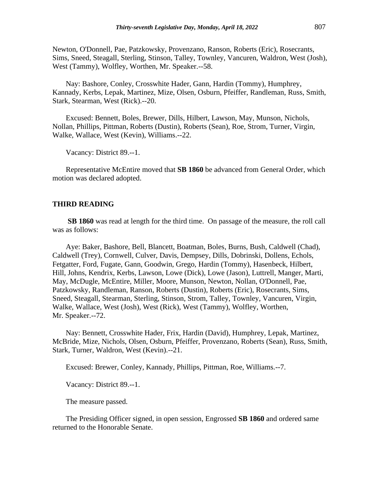Newton, O'Donnell, Pae, Patzkowsky, Provenzano, Ranson, Roberts (Eric), Rosecrants, Sims, Sneed, Steagall, Sterling, Stinson, Talley, Townley, Vancuren, Waldron, West (Josh), West (Tammy), Wolfley, Worthen, Mr. Speaker.--58.

Nay: Bashore, Conley, Crosswhite Hader, Gann, Hardin (Tommy), Humphrey, Kannady, Kerbs, Lepak, Martinez, Mize, Olsen, Osburn, Pfeiffer, Randleman, Russ, Smith, Stark, Stearman, West (Rick).--20.

Excused: Bennett, Boles, Brewer, Dills, Hilbert, Lawson, May, Munson, Nichols, Nollan, Phillips, Pittman, Roberts (Dustin), Roberts (Sean), Roe, Strom, Turner, Virgin, Walke, Wallace, West (Kevin), Williams.--22.

Vacancy: District 89.--1.

Representative McEntire moved that **SB 1860** be advanced from General Order, which motion was declared adopted.

#### **THIRD READING**

**SB 1860** was read at length for the third time. On passage of the measure, the roll call was as follows:

Aye: Baker, Bashore, Bell, Blancett, Boatman, Boles, Burns, Bush, Caldwell (Chad), Caldwell (Trey), Cornwell, Culver, Davis, Dempsey, Dills, Dobrinski, Dollens, Echols, Fetgatter, Ford, Fugate, Gann, Goodwin, Grego, Hardin (Tommy), Hasenbeck, Hilbert, Hill, Johns, Kendrix, Kerbs, Lawson, Lowe (Dick), Lowe (Jason), Luttrell, Manger, Marti, May, McDugle, McEntire, Miller, Moore, Munson, Newton, Nollan, O'Donnell, Pae, Patzkowsky, Randleman, Ranson, Roberts (Dustin), Roberts (Eric), Rosecrants, Sims, Sneed, Steagall, Stearman, Sterling, Stinson, Strom, Talley, Townley, Vancuren, Virgin, Walke, Wallace, West (Josh), West (Rick), West (Tammy), Wolfley, Worthen, Mr. Speaker.--72.

Nay: Bennett, Crosswhite Hader, Frix, Hardin (David), Humphrey, Lepak, Martinez, McBride, Mize, Nichols, Olsen, Osburn, Pfeiffer, Provenzano, Roberts (Sean), Russ, Smith, Stark, Turner, Waldron, West (Kevin).--21.

Excused: Brewer, Conley, Kannady, Phillips, Pittman, Roe, Williams.--7.

Vacancy: District 89.--1.

The measure passed.

The Presiding Officer signed, in open session, Engrossed **SB 1860** and ordered same returned to the Honorable Senate.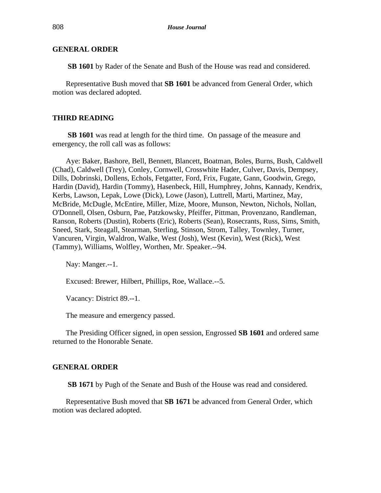#### **GENERAL ORDER**

**SB 1601** by Rader of the Senate and Bush of the House was read and considered.

Representative Bush moved that **SB 1601** be advanced from General Order, which motion was declared adopted.

#### **THIRD READING**

**SB 1601** was read at length for the third time. On passage of the measure and emergency, the roll call was as follows:

Aye: Baker, Bashore, Bell, Bennett, Blancett, Boatman, Boles, Burns, Bush, Caldwell (Chad), Caldwell (Trey), Conley, Cornwell, Crosswhite Hader, Culver, Davis, Dempsey, Dills, Dobrinski, Dollens, Echols, Fetgatter, Ford, Frix, Fugate, Gann, Goodwin, Grego, Hardin (David), Hardin (Tommy), Hasenbeck, Hill, Humphrey, Johns, Kannady, Kendrix, Kerbs, Lawson, Lepak, Lowe (Dick), Lowe (Jason), Luttrell, Marti, Martinez, May, McBride, McDugle, McEntire, Miller, Mize, Moore, Munson, Newton, Nichols, Nollan, O'Donnell, Olsen, Osburn, Pae, Patzkowsky, Pfeiffer, Pittman, Provenzano, Randleman, Ranson, Roberts (Dustin), Roberts (Eric), Roberts (Sean), Rosecrants, Russ, Sims, Smith, Sneed, Stark, Steagall, Stearman, Sterling, Stinson, Strom, Talley, Townley, Turner, Vancuren, Virgin, Waldron, Walke, West (Josh), West (Kevin), West (Rick), West (Tammy), Williams, Wolfley, Worthen, Mr. Speaker.--94.

Nay: Manger.--1.

Excused: Brewer, Hilbert, Phillips, Roe, Wallace.--5.

Vacancy: District 89.--1.

The measure and emergency passed.

The Presiding Officer signed, in open session, Engrossed **SB 1601** and ordered same returned to the Honorable Senate.

#### **GENERAL ORDER**

**SB 1671** by Pugh of the Senate and Bush of the House was read and considered.

Representative Bush moved that **SB 1671** be advanced from General Order, which motion was declared adopted.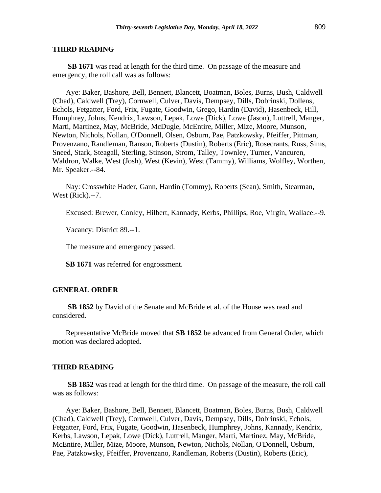#### **THIRD READING**

**SB 1671** was read at length for the third time. On passage of the measure and emergency, the roll call was as follows:

Aye: Baker, Bashore, Bell, Bennett, Blancett, Boatman, Boles, Burns, Bush, Caldwell (Chad), Caldwell (Trey), Cornwell, Culver, Davis, Dempsey, Dills, Dobrinski, Dollens, Echols, Fetgatter, Ford, Frix, Fugate, Goodwin, Grego, Hardin (David), Hasenbeck, Hill, Humphrey, Johns, Kendrix, Lawson, Lepak, Lowe (Dick), Lowe (Jason), Luttrell, Manger, Marti, Martinez, May, McBride, McDugle, McEntire, Miller, Mize, Moore, Munson, Newton, Nichols, Nollan, O'Donnell, Olsen, Osburn, Pae, Patzkowsky, Pfeiffer, Pittman, Provenzano, Randleman, Ranson, Roberts (Dustin), Roberts (Eric), Rosecrants, Russ, Sims, Sneed, Stark, Steagall, Sterling, Stinson, Strom, Talley, Townley, Turner, Vancuren, Waldron, Walke, West (Josh), West (Kevin), West (Tammy), Williams, Wolfley, Worthen, Mr. Speaker.--84.

Nay: Crosswhite Hader, Gann, Hardin (Tommy), Roberts (Sean), Smith, Stearman, West (Rick).--7.

Excused: Brewer, Conley, Hilbert, Kannady, Kerbs, Phillips, Roe, Virgin, Wallace.--9.

Vacancy: District 89.--1.

The measure and emergency passed.

**SB 1671** was referred for engrossment.

#### **GENERAL ORDER**

**SB 1852** by David of the Senate and McBride et al. of the House was read and considered.

Representative McBride moved that **SB 1852** be advanced from General Order, which motion was declared adopted.

#### **THIRD READING**

**SB 1852** was read at length for the third time. On passage of the measure, the roll call was as follows:

Aye: Baker, Bashore, Bell, Bennett, Blancett, Boatman, Boles, Burns, Bush, Caldwell (Chad), Caldwell (Trey), Cornwell, Culver, Davis, Dempsey, Dills, Dobrinski, Echols, Fetgatter, Ford, Frix, Fugate, Goodwin, Hasenbeck, Humphrey, Johns, Kannady, Kendrix, Kerbs, Lawson, Lepak, Lowe (Dick), Luttrell, Manger, Marti, Martinez, May, McBride, McEntire, Miller, Mize, Moore, Munson, Newton, Nichols, Nollan, O'Donnell, Osburn, Pae, Patzkowsky, Pfeiffer, Provenzano, Randleman, Roberts (Dustin), Roberts (Eric),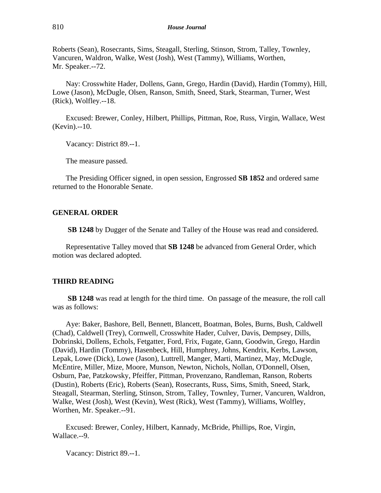Roberts (Sean), Rosecrants, Sims, Steagall, Sterling, Stinson, Strom, Talley, Townley, Vancuren, Waldron, Walke, West (Josh), West (Tammy), Williams, Worthen, Mr. Speaker.--72.

Nay: Crosswhite Hader, Dollens, Gann, Grego, Hardin (David), Hardin (Tommy), Hill, Lowe (Jason), McDugle, Olsen, Ranson, Smith, Sneed, Stark, Stearman, Turner, West (Rick), Wolfley.--18.

Excused: Brewer, Conley, Hilbert, Phillips, Pittman, Roe, Russ, Virgin, Wallace, West (Kevin).--10.

Vacancy: District 89.--1.

The measure passed.

The Presiding Officer signed, in open session, Engrossed **SB 1852** and ordered same returned to the Honorable Senate.

#### **GENERAL ORDER**

**SB 1248** by Dugger of the Senate and Talley of the House was read and considered.

Representative Talley moved that **SB 1248** be advanced from General Order, which motion was declared adopted.

#### **THIRD READING**

**SB 1248** was read at length for the third time. On passage of the measure, the roll call was as follows:

Aye: Baker, Bashore, Bell, Bennett, Blancett, Boatman, Boles, Burns, Bush, Caldwell (Chad), Caldwell (Trey), Cornwell, Crosswhite Hader, Culver, Davis, Dempsey, Dills, Dobrinski, Dollens, Echols, Fetgatter, Ford, Frix, Fugate, Gann, Goodwin, Grego, Hardin (David), Hardin (Tommy), Hasenbeck, Hill, Humphrey, Johns, Kendrix, Kerbs, Lawson, Lepak, Lowe (Dick), Lowe (Jason), Luttrell, Manger, Marti, Martinez, May, McDugle, McEntire, Miller, Mize, Moore, Munson, Newton, Nichols, Nollan, O'Donnell, Olsen, Osburn, Pae, Patzkowsky, Pfeiffer, Pittman, Provenzano, Randleman, Ranson, Roberts (Dustin), Roberts (Eric), Roberts (Sean), Rosecrants, Russ, Sims, Smith, Sneed, Stark, Steagall, Stearman, Sterling, Stinson, Strom, Talley, Townley, Turner, Vancuren, Waldron, Walke, West (Josh), West (Kevin), West (Rick), West (Tammy), Williams, Wolfley, Worthen, Mr. Speaker.--91.

Excused: Brewer, Conley, Hilbert, Kannady, McBride, Phillips, Roe, Virgin, Wallace.--9.

Vacancy: District 89.--1.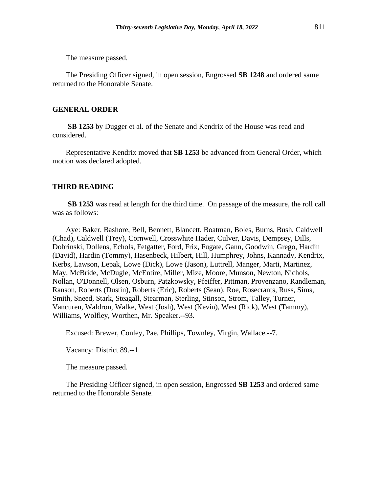The measure passed.

The Presiding Officer signed, in open session, Engrossed **SB 1248** and ordered same returned to the Honorable Senate.

#### **GENERAL ORDER**

**SB 1253** by Dugger et al. of the Senate and Kendrix of the House was read and considered.

Representative Kendrix moved that **SB 1253** be advanced from General Order, which motion was declared adopted.

## **THIRD READING**

**SB 1253** was read at length for the third time. On passage of the measure, the roll call was as follows:

Aye: Baker, Bashore, Bell, Bennett, Blancett, Boatman, Boles, Burns, Bush, Caldwell (Chad), Caldwell (Trey), Cornwell, Crosswhite Hader, Culver, Davis, Dempsey, Dills, Dobrinski, Dollens, Echols, Fetgatter, Ford, Frix, Fugate, Gann, Goodwin, Grego, Hardin (David), Hardin (Tommy), Hasenbeck, Hilbert, Hill, Humphrey, Johns, Kannady, Kendrix, Kerbs, Lawson, Lepak, Lowe (Dick), Lowe (Jason), Luttrell, Manger, Marti, Martinez, May, McBride, McDugle, McEntire, Miller, Mize, Moore, Munson, Newton, Nichols, Nollan, O'Donnell, Olsen, Osburn, Patzkowsky, Pfeiffer, Pittman, Provenzano, Randleman, Ranson, Roberts (Dustin), Roberts (Eric), Roberts (Sean), Roe, Rosecrants, Russ, Sims, Smith, Sneed, Stark, Steagall, Stearman, Sterling, Stinson, Strom, Talley, Turner, Vancuren, Waldron, Walke, West (Josh), West (Kevin), West (Rick), West (Tammy), Williams, Wolfley, Worthen, Mr. Speaker.--93.

Excused: Brewer, Conley, Pae, Phillips, Townley, Virgin, Wallace.--7.

Vacancy: District 89.--1.

The measure passed.

The Presiding Officer signed, in open session, Engrossed **SB 1253** and ordered same returned to the Honorable Senate.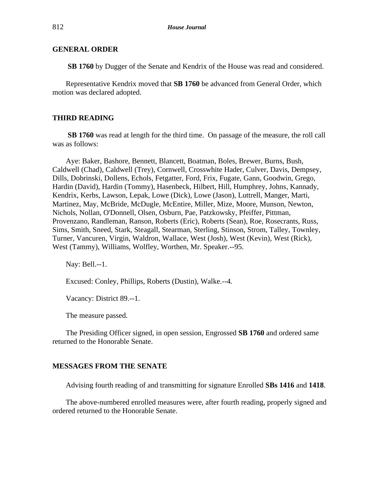#### **GENERAL ORDER**

**SB 1760** by Dugger of the Senate and Kendrix of the House was read and considered.

Representative Kendrix moved that **SB 1760** be advanced from General Order, which motion was declared adopted.

#### **THIRD READING**

**SB 1760** was read at length for the third time. On passage of the measure, the roll call was as follows:

Aye: Baker, Bashore, Bennett, Blancett, Boatman, Boles, Brewer, Burns, Bush, Caldwell (Chad), Caldwell (Trey), Cornwell, Crosswhite Hader, Culver, Davis, Dempsey, Dills, Dobrinski, Dollens, Echols, Fetgatter, Ford, Frix, Fugate, Gann, Goodwin, Grego, Hardin (David), Hardin (Tommy), Hasenbeck, Hilbert, Hill, Humphrey, Johns, Kannady, Kendrix, Kerbs, Lawson, Lepak, Lowe (Dick), Lowe (Jason), Luttrell, Manger, Marti, Martinez, May, McBride, McDugle, McEntire, Miller, Mize, Moore, Munson, Newton, Nichols, Nollan, O'Donnell, Olsen, Osburn, Pae, Patzkowsky, Pfeiffer, Pittman, Provenzano, Randleman, Ranson, Roberts (Eric), Roberts (Sean), Roe, Rosecrants, Russ, Sims, Smith, Sneed, Stark, Steagall, Stearman, Sterling, Stinson, Strom, Talley, Townley, Turner, Vancuren, Virgin, Waldron, Wallace, West (Josh), West (Kevin), West (Rick), West (Tammy), Williams, Wolfley, Worthen, Mr. Speaker.--95.

Nay: Bell.--1.

Excused: Conley, Phillips, Roberts (Dustin), Walke.--4.

Vacancy: District 89.--1.

The measure passed.

The Presiding Officer signed, in open session, Engrossed **SB 1760** and ordered same returned to the Honorable Senate.

#### **MESSAGES FROM THE SENATE**

Advising fourth reading of and transmitting for signature Enrolled **SBs 1416** and **1418**.

The above-numbered enrolled measures were, after fourth reading, properly signed and ordered returned to the Honorable Senate.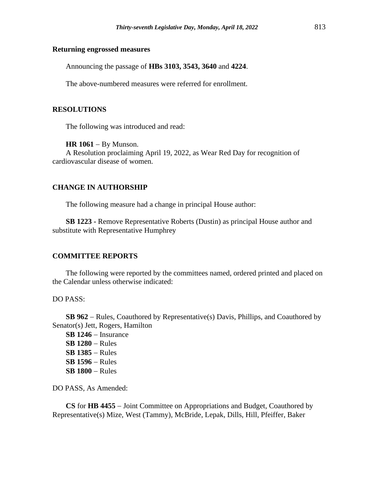#### **Returning engrossed measures**

Announcing the passage of **HBs 3103, 3543, 3640** and **4224**.

The above-numbered measures were referred for enrollment.

## **RESOLUTIONS**

The following was introduced and read:

#### **HR 1061 – By Munson.**

A Resolution proclaiming April 19, 2022, as Wear Red Day for recognition of cardiovascular disease of women.

## **CHANGE IN AUTHORSHIP**

The following measure had a change in principal House author:

**SB 1223 -** Remove Representative Roberts (Dustin) as principal House author and substitute with Representative Humphrey

#### **COMMITTEE REPORTS**

The following were reported by the committees named, ordered printed and placed on the Calendar unless otherwise indicated:

DO PASS:

**SB 962** − Rules, Coauthored by Representative(s) Davis, Phillips, and Coauthored by Senator(s) Jett, Rogers, Hamilton

**SB 1246** − Insurance **SB 1280** − Rules **SB 1385** − Rules **SB 1596** − Rules **SB 1800** − Rules

DO PASS, As Amended:

**CS** for **HB 4455** − Joint Committee on Appropriations and Budget, Coauthored by Representative(s) Mize, West (Tammy), McBride, Lepak, Dills, Hill, Pfeiffer, Baker